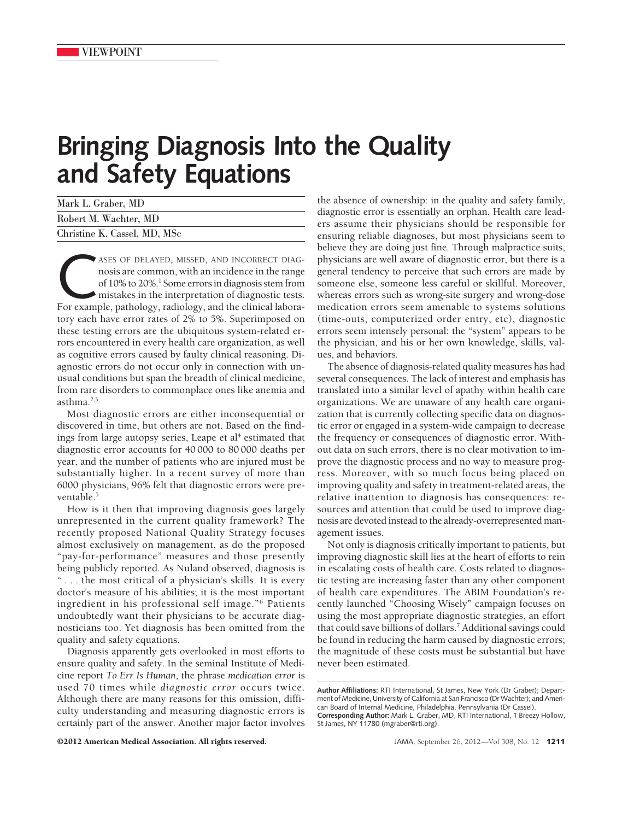## **Bringing Diagnosis Into the Quality and Safety Equations**

| Mark L. Graber, MD           |  |
|------------------------------|--|
| Robert M. Wachter, MD        |  |
| Christine K. Cassel, MD, MSc |  |

ASES OF DELAYED, MISSED, AND INCORRECT DIAG-<br>nosis are common, with an incidence in the range<br>of 10% to 20%.<sup>1</sup> Some errors in diagnosis stem from<br>mistakes in the interpretation of diagnostic tests.<br>For example, pathology, nosis are common, with an incidence in the range of 10% to 20%.<sup>1</sup> Some errors in diagnosis stem from mistakes in the interpretation of diagnostic tests. tory each have error rates of 2% to 5%. Superimposed on these testing errors are the ubiquitous system-related errors encountered in every health care organization, as well as cognitive errors caused by faulty clinical reasoning. Diagnostic errors do not occur only in connection with unusual conditions but span the breadth of clinical medicine, from rare disorders to commonplace ones like anemia and asthma. $2,3$ 

Most diagnostic errors are either inconsequential or discovered in time, but others are not. Based on the findings from large autopsy series, Leape et al<sup>4</sup> estimated that diagnostic error accounts for 40 000 to 80 000 deaths per year, and the number of patients who are injured must be substantially higher. In a recent survey of more than 6000 physicians, 96% felt that diagnostic errors were preventable.<sup>5</sup>

How is it then that improving diagnosis goes largely unrepresented in the current quality framework? The recently proposed National Quality Strategy focuses almost exclusively on management, as do the proposed "pay-for-performance" measures and those presently being publicly reported. As Nuland observed, diagnosis is " . . . the most critical of a physician's skills. It is every doctor's measure of his abilities; it is the most important ingredient in his professional self image."6 Patients undoubtedly want their physicians to be accurate diagnosticians too. Yet diagnosis has been omitted from the quality and safety equations.

Diagnosis apparently gets overlooked in most efforts to ensure quality and safety. In the seminal Institute of Medicine report *To Err Is Human*, the phrase *medication error* is used 70 times while *diagnostic error* occurs twice. Although there are many reasons for this omission, difficulty understanding and measuring diagnostic errors is certainly part of the answer. Another major factor involves the absence of ownership: in the quality and safety family, diagnostic error is essentially an orphan. Health care leaders assume their physicians should be responsible for ensuring reliable diagnoses, but most physicians seem to believe they are doing just fine. Through malpractice suits, physicians are well aware of diagnostic error, but there is a general tendency to perceive that such errors are made by someone else, someone less careful or skillful. Moreover, whereas errors such as wrong-site surgery and wrong-dose medication errors seem amenable to systems solutions (time-outs, computerized order entry, etc), diagnostic errors seem intensely personal: the "system" appears to be the physician, and his or her own knowledge, skills, values, and behaviors.

The absence of diagnosis-related quality measures has had several consequences. The lack of interest and emphasis has translated into a similar level of apathy within health care organizations. We are unaware of any health care organization that is currently collecting specific data on diagnostic error or engaged in a system-wide campaign to decrease the frequency or consequences of diagnostic error. Without data on such errors, there is no clear motivation to improve the diagnostic process and no way to measure progress. Moreover, with so much focus being placed on improving quality and safety in treatment-related areas, the relative inattention to diagnosis has consequences: resources and attention that could be used to improve diagnosis are devoted instead to the already-overrepresented management issues.

Not only is diagnosis critically important to patients, but improving diagnostic skill lies at the heart of efforts to rein in escalating costs of health care. Costs related to diagnostic testing are increasing faster than any other component of health care expenditures. The ABIM Foundation's recently launched "Choosing Wisely" campaign focuses on using the most appropriate diagnostic strategies, an effort that could save billions of dollars.7 Additional savings could be found in reducing the harm caused by diagnostic errors; the magnitude of these costs must be substantial but have never been estimated.

©2012 American Medical Association. All rights reserved. JAMA, September 26, 2012—Vol 308, No. 12 **1211**

**Author Affiliations:** RTI International, St James, New York (Dr Graber); Department of Medicine, University of California at San Francisco (Dr Wachter); and American Board of Internal Medicine, Philadelphia, Pennsylvania (Dr Cassel). **Corresponding Author:** Mark L. Graber, MD, RTI International, 1 Breezy Hollow, St James, NY 11780 (mgraber@rti.org).